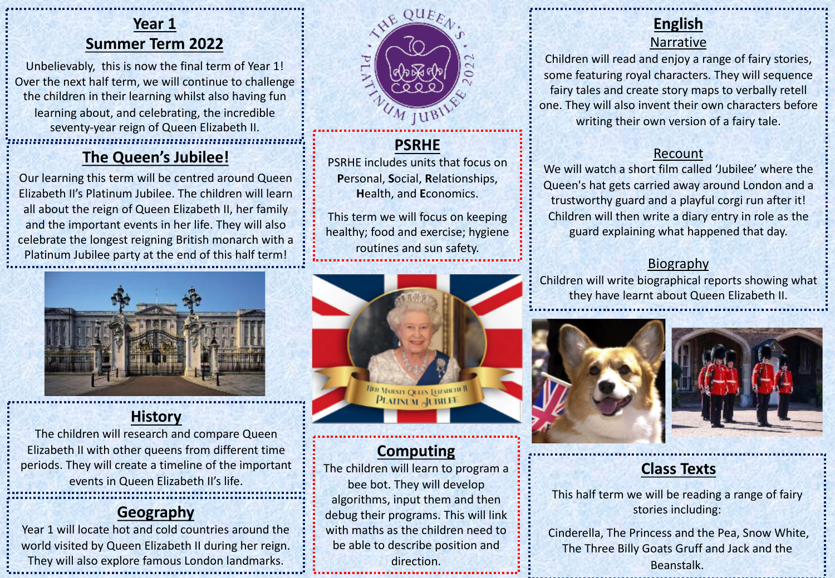# **Year 1 Summer Term 2022**

Unbelievably, this is now the final term of Year 1! Over the next half term, we will continue to challenge the children in their learning whilst also having fun learning about, and celebrating, the incredible seventy-year reign of Queen Elizabeth II.

# **The Queen's Jubilee!**

Our learning this term will be centred around Queen Elizabeth II's Platinum Jubilee. The children will learn all about the reign of Queen Elizabeth II, her family and the important events in her life. They will also celebrate the longest reigning British monarch with a Platinum Jubilee party at the end of this half term!



### **History**

The children will research and compare Queen Elizabeth II with other queens from different time periods. They will create a timeline of the important events in Queen Elizabeth II's life.

# **Geography**

Year 1 will locate hot and cold countries around the world visited by Queen Elizabeth II during her reign. They will also explore famous London landmarks.



**PSRHE** PSRHE includes units that focus on **P**ersonal, **S**ocial, **R**elationships, **H**ealth, and **E**conomics.

This term we will focus on keeping healthy; food and exercise; hygiene routines and sun safety.



# **Computing**

The children will learn to program a bee bot. They will develop algorithms, input them and then debug their programs. This will link with maths as the children need to be able to describe position and direction.

# **English**

### Narrative

Children will read and enjoy a range of fairy stories, some featuring royal characters. They will sequence fairy tales and create story maps to verbally retell one. They will also invent their own characters before writing their own version of a fairy tale.

### Recount

We will watch a short film called 'Jubilee' where the Queen's hat gets carried away around London and a trustworthy guard and a playful corgi run after it! Children will then write a diary entry in role as the guard explaining what happened that day.

### Biography

Children will write biographical reports showing what they have learnt about Queen Elizabeth II.





# **Class Texts**

This half term we will be reading a range of fairy stories including:

Cinderella, The Princess and the Pea, Snow White, The Three Billy Goats Gruff and Jack and the Beanstalk.